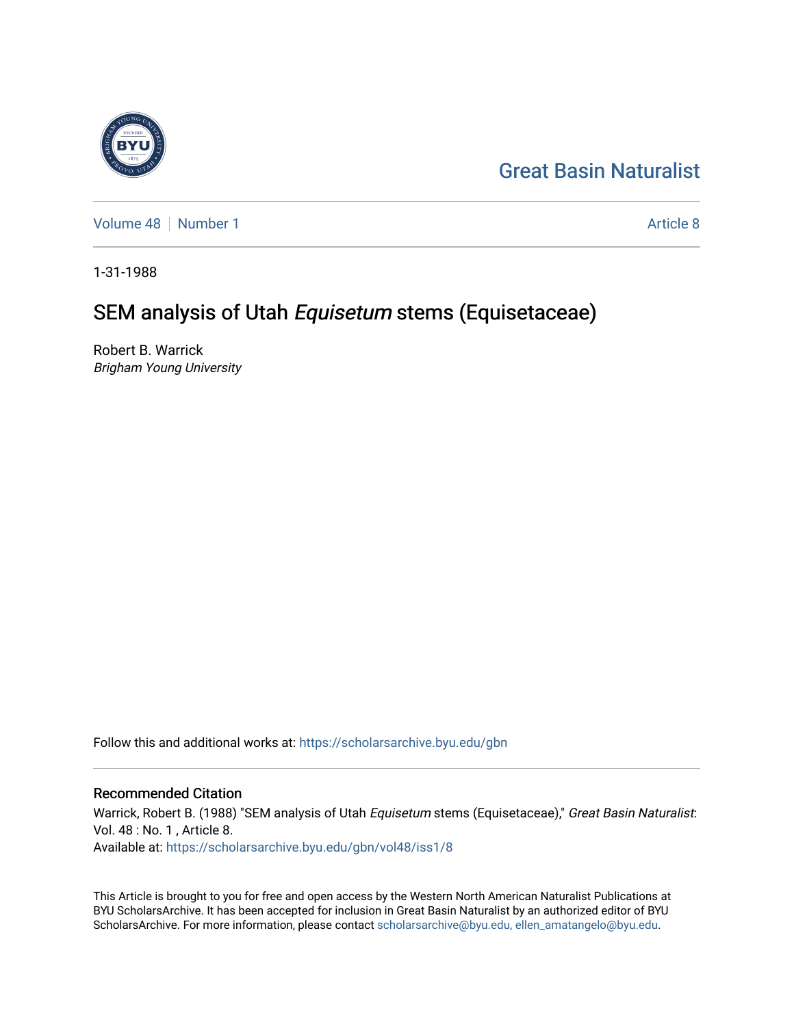# [Great Basin Naturalist](https://scholarsarchive.byu.edu/gbn)

[Volume 48](https://scholarsarchive.byu.edu/gbn/vol48) [Number 1](https://scholarsarchive.byu.edu/gbn/vol48/iss1) [Article 8](https://scholarsarchive.byu.edu/gbn/vol48/iss1/8) Article 8

1-31-1988

# SEM analysis of Utah Equisetum stems (Equisetaceae)

Robert B. Warrick Brigham Young University

Follow this and additional works at: [https://scholarsarchive.byu.edu/gbn](https://scholarsarchive.byu.edu/gbn?utm_source=scholarsarchive.byu.edu%2Fgbn%2Fvol48%2Fiss1%2F8&utm_medium=PDF&utm_campaign=PDFCoverPages) 

### Recommended Citation

Warrick, Robert B. (1988) "SEM analysis of Utah Equisetum stems (Equisetaceae)," Great Basin Naturalist: Vol. 48 : No. 1 , Article 8. Available at: [https://scholarsarchive.byu.edu/gbn/vol48/iss1/8](https://scholarsarchive.byu.edu/gbn/vol48/iss1/8?utm_source=scholarsarchive.byu.edu%2Fgbn%2Fvol48%2Fiss1%2F8&utm_medium=PDF&utm_campaign=PDFCoverPages)

This Article is brought to you for free and open access by the Western North American Naturalist Publications at BYU ScholarsArchive. It has been accepted for inclusion in Great Basin Naturalist by an authorized editor of BYU ScholarsArchive. For more information, please contact [scholarsarchive@byu.edu, ellen\\_amatangelo@byu.edu.](mailto:scholarsarchive@byu.edu,%20ellen_amatangelo@byu.edu)

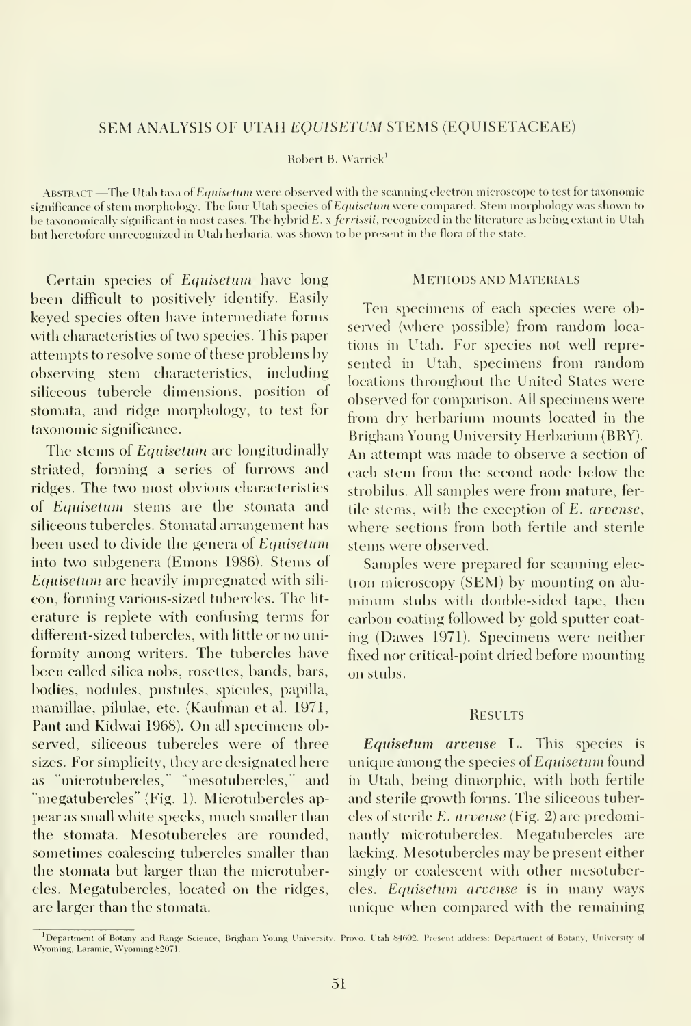#### SEM ANALYSIS OF UTAH EQUISETUM STEMS (EQUISETACEAE)

Robert B. Warrick'

ABSTRACT.—The Utah taxa of Equisetum were observed with the scanning electron microscope to test for taxonomic significance of stem morphology. The four Utah species of Equisetian were compared. Stem morphology was shown to be taxonomically significant in most cases. The hybrid  $E. x$  ferrissii, recognized in the literature as being extant in Utah but heretofore unrecognized in Utah herbaria, was shown to be present in the flora of the state.

Certain species of Equisetum have long been difficult to positively identify. Easily keyed species often have intermediate forms with characteristics of two species. This paper attempts to resolve some of these problems by observing stem characteristics, including siliceous tubercle dimensions, position of stomata, and ridge morphology, to test for taxonomic significance.

The stems of Equisetum are longitudinally striated, forming a series of furrows and ridges. The two most obvious characteristics of Equisetum stems are the stomata and siliceous tubercles. Stomatal arrangement has been used to divide the genera of Equisetum into two subgenera (Emons 1986). Stems of Equisetum are heavily impregnated with sili con, forming various-sized tubercles. The lit erature is replete with confusing terms for different-sized tubercles, with little or no uniformity among writers. The tubercles have been called silica nobs, rosettes, bands, bars, bodies, nodules, pustules, spicules, papilla, mamillae, pilulae, etc. (Kaufman et al. 1971, Pant and Kidwai 1968). On all specimens observed, siliceous tubercles were of three sizes. For simplicity, they are designated here as "microtubercles," "mesotubercles," and "megatubercles" (Fig. 1). Microtubercles ap pear as small white specks, much smaller than the stomata. Mesotubercles are rounded, sometimes coalescing tubercles smaller than the stomata but larger than the microtubercles. Megatubercles, located on the ridges, are larger than the stomata.

### Methods and Materials

Ten specimens of each species were observed (where possible) from random loca tions in Utah. For species not well repre sented in Utah, specimens from random locations throughout the United States were observed for comparison. All specimens were from dry herbarium mounts located in the Brigham Young University Herbarium (BRY). An attempt was made to observe a section of each stem from the second node below the strobilus. All samples were from mature, fertile stems, with the exception of £. arvense, where sections from both fertile and sterile stems were observed.

Samples were prepared for scanning elec tron microscopy (SEM) by mounting on alu minum stubs with double-sided tape, then carbon coating followed by gold sputter coat ing (Dawes 1971). Specimens were neither fixed nor critical-point dried before mounting on stubs.

#### **RESULTS**

Equisetum arvense L. This species is unique among the species of Equisetum found in Utah, being dimorphic, with both fertile and sterile growth forms. The siliceous tubercles of sterile E. arvense (Fig. 2) are predominantly microtubercles. Megatubercles are lacking. Mesotubercles may be present either singly or coalescent with other mesotubercles. Equisetum arvense is in many ways unique when compared with the remaining

Department of Botany and Range Science. Brigham Young University, Prove, Utah S4602. Present address: Department of Botany, University of Wyoming, Laramie, Wyoming 82071.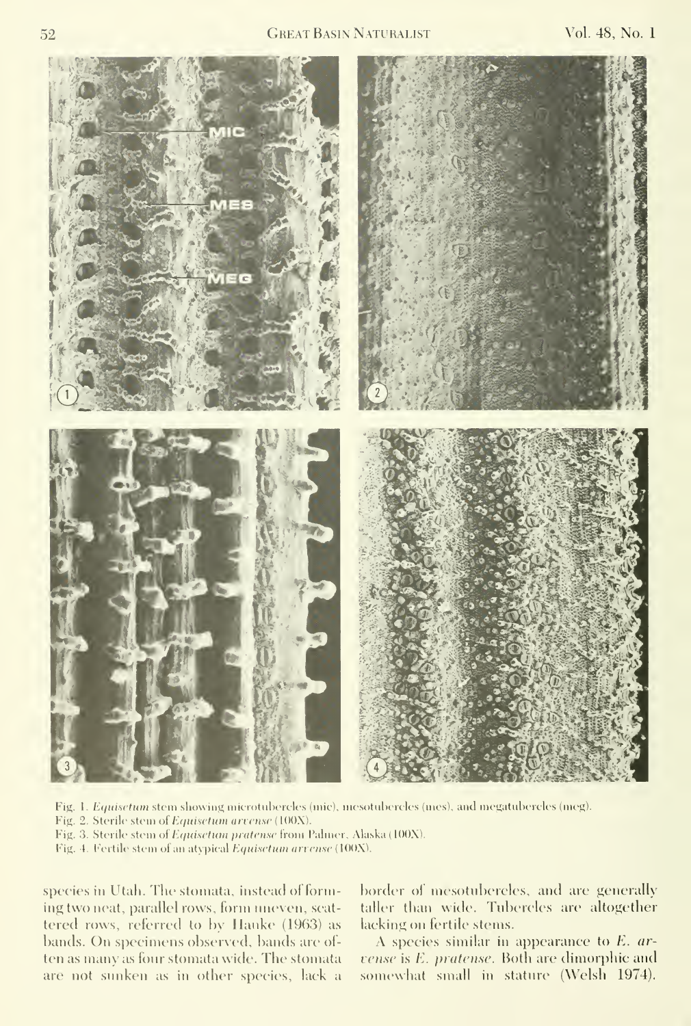

Fig. 1. Equisetum stem showing microtubercles (mic), mesotubercles (mes), and megatubercles (meg).

Fig. 2. Sterile stem of Equisetum arvense (100X).

Fig. 3. Sterile stem of Equisetian pratense from Palmer, Alaska (100X).

Fig. 4. Fertile stem of an atypical Equisetum arrense (100X).

species in Utah. The stomata, instead of forming two neat, parallel rows, form uneven, scat tered rows, referred to hy llauke (1963) as bands. On specimens observed, bands are of ten as many as four stomata wide. The stomata are not sunken as in other species, lack a

border of mesotubercles, and are generally taller than wide. Tubercles are altogether lacking on fertile stems.

A species similar in appearance to E. ar vense is E. pratense. Both are dimorphic and somewhat small in stature (Welsh 1974).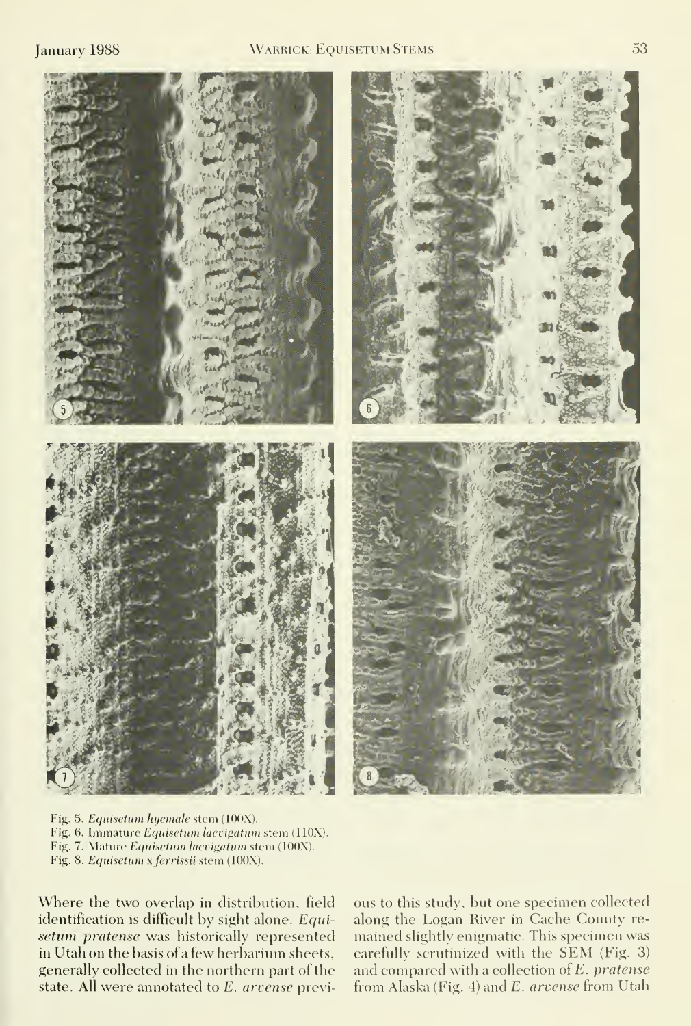

Fig. 5. Equisetum hyemale stem (100X). Fig. 6. Immature Equisetum laevigatum stem (110X). Fig. 7. Mature Equisetum laevigatum stem (100X). Fig. 8. Equisetum x ferrissii stem (100X).

Where the two overlap in distribution, field identification is difficult by sight alone. Equisetum pratense was historically represented in Utah on the basis of a few herbarium sheets, generally collected in the northern part of the state. All were annotated to £. arvense previous to this study, but one specimen collected along the Logan River in Cache County re mained slightly enigmatic. This specimen was carefully scrutinized with the SEM (Fig. 3) and compared with a collection of £. pratense from Alaska (Fig. 4) and E. arvense from Utah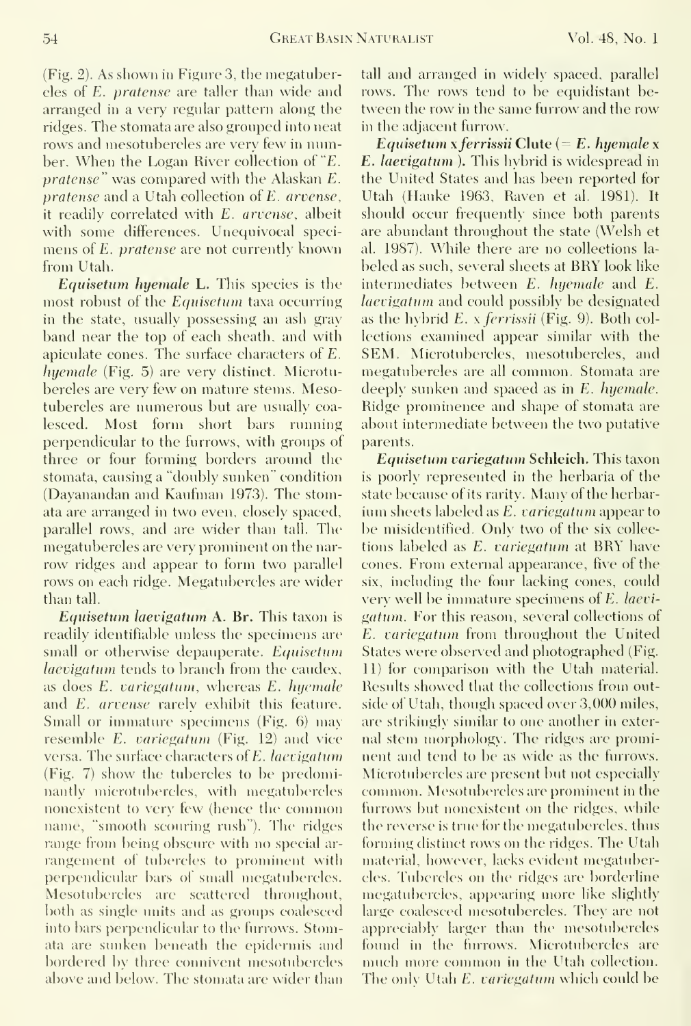54 GREAT BASIN NATURALIST Vol. 48, No. 1

(Fig. 2). As shown in Figure 3, the megatubercles of E. pratense are taller than wide and arranged in a very regular pattern along the ridges. The stomata are also grouped into neat rows and mesotubercles are very few in number. When the Logan River collection of "£. pratense" was compared with the Alaskan E. pratense and a Utah collection of £. arvense, it readily correlated with E. arvense, albeit with some differences. Unequivocal speci mens of £. pratense are not currently known from Utah.

Equisetum hyemale L. This species is the most robust of the Equisetum taxa occurring in the state, usually possessing an ash gray band near the top of each sheath, and with apiculate cones. The surface characters of £. hyemale (Fig. 5) are very distinct. Microtubercles are very few on mature stems. Mesotubercles are numerous but are usually coalesced. Most form short bars rimning perpendicular to the furrows, with groups of three or four forming borders around the stomata, causing a "doubly sunken" condition (Dayanandan and Kaufman 1973). The stomata are arranged in two even, closely spaced, parallel rows, and are wider than tall. The megatubercles are very prominent on the nar row ridges and appear to form two parallel rows on each ridge. Megatubercles are wider than tall.

Equisetum laevigatum A. Br. This taxon is readily identifiable unless the specimens are small or otherwise depauperate. Equisetum laevigatum tends to branch from the caudex, as does E. variegatum, whereas E. hyemale and E. arvense rarely exhibit this feature. Small or immature specimens (Fig. 6) may resemble E. variegatum (Fig. 12) and vice versa. The surface characters of £. laevigatum (Fig. 7) show the tubercles to be predominantly microtubercles, with megatubercles nonexistent to very few (hence the common name, "smooth scouring rush"). The ridges range from being obscure with no special ar rangement of tubercles to prominent with perpendicular bars of small megatubercles. Mesotubercles are scattered throughout, both as single units and as groups coalesced into bars perpendicular to the furrows. Stomata are sunken beneath the epidermis and bordered by three connivent mesotubercles above and below. The stomata are wider than tall and arranged in widely spaced, parallel rows. The rows tend to be equidistant between the row in the same furrow and the row in the adjacent furrow.

Equisetum x ferrissii Clute (=  $E$ . hyemale x E. laevigatum ). This hybrid is widespread in the United States and has been reported for Utah (Hauke 1963, Raven et al. 1981). It should occur frequently since both parents are abundant throughout the state (Welsh et al. 1987). While there are no collections la beled as such, several sheets at BRY look like intermediates between E. hyemale and E. laevigatum and could possibly be designated as the hybrid  $E$ . x *ferrissii* (Fig. 9). Both collections examined appear similar with the SEM. Microtubercles, mesotubercles, and megatubercles are all common. Stomata are deeply sunken and spaced as in E. hyemale. Ridge prominence and shape of stomata are about intermediate between the two putative parents.

Equisetum variegatum Schleich. This taxon is poorly represented in the herbaria of the state because of its rarity. Many of the herbarium sheets labeled as E. variegatum appear to be misidentified. Only two of the six collec tions labeled as E. variegatum at BRY have cones. From external appearance, five of the six, including the four lacking cones, could very well be immature specimens of £. laevi gatum. For this reason, sexeral collections of £. variegatum from throughout the United States were observed and photographed (Fig. 11) for comparison with the Utah material. Results showed that the collections from outside of Utah, though spaced over 3,000 miles, are strikingly similar to one another in external stem morphology. The ridges are prominent and tend to be as wide as the furrows. Microtubercles are present but not especially common. Mesotubercles are prominent in the furrows but nonexistent on the ridges, while the reverse is true for the megatubercles, thus forming distinct rows on the ridges. The Utah material, however, lacks evident megatubercles. Tubercles on the ridges are borderline megatubercles, appearing more like slightly large coalesced mesotubercles. They are not appreciably larger than the mesotubercles found in the furrows. Microtubercles are nuich more common in the Utah collection. The only Utah  $E$ . variegatum which could be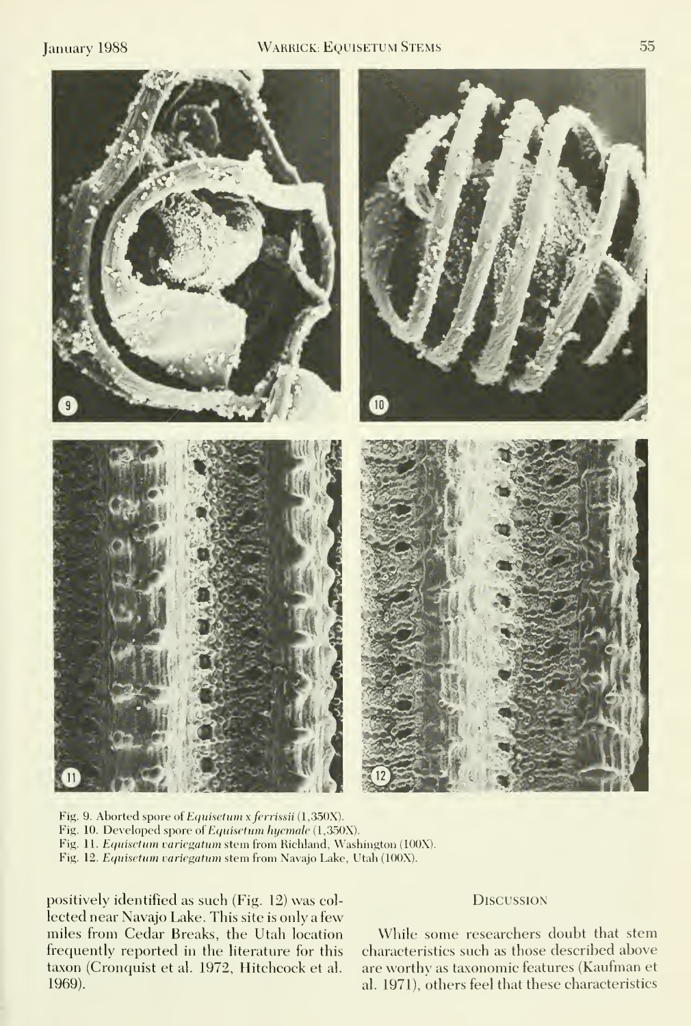

Fig. 9. Aborted spore of Equisetum x ferrissii (1,350X). Fig. 10. Developed spore of Equisetum hyemale {l,350X). Fig. 11. Equisetum variegatum stem from Richland, Washington (100X). Fig. 12. Equisetum variegatum stem from Navajo Lake, Utah (100X).

positively identified as such (Fig. 12) was col lected near Navajo Lake. This site is only a few miles from Cedar Breaks, the Utah location frequently reported in the literature for this taxon (Cronquist et al. 1972, Hitchcock et al. 1969).

#### **DISCUSSION**

While some researchers doubt that stem characteristics such as those described above are worthy as taxonomic features (Kaufman et al. 1971), others feel that these characteristics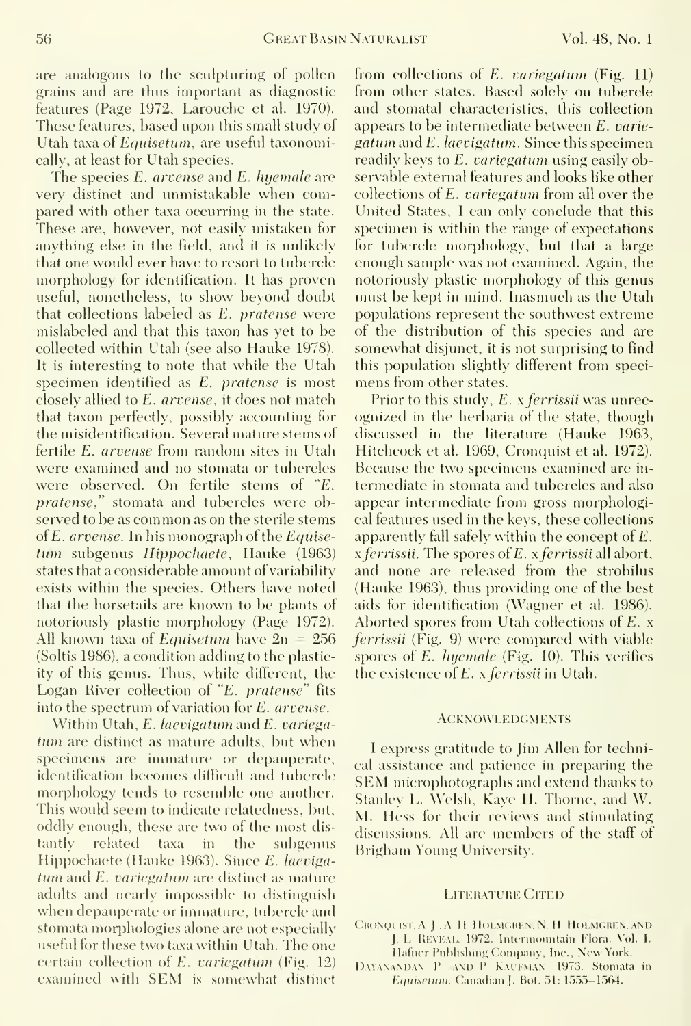are analogous to the sculpturing of pollen grains and are thus important as diagnostic features (Page 1972, Larouche et al. 1970). These features, based upon this small study of Utah taxa of Equisetum, are useful taxonomically, at least for Utah species.

The species E. arvense and E. hyemale are very distinct and unmistakable when compared with other taxa occurring in the state. These are, however, not easily mistaken for anything else in the field, and it is unlikely that one would ever have to resort to tubercle morphology for identification. It has proven useful, nonetheless, to show beyond doubt that collections labeled as E. pratense were mislabeled and that this taxon has yet to be collected within Utah (see also Hauke 1978). It is interesting to note that while the Utah specimen identified as £. pratense is most closely allied to E. arvense, it does not match that taxon perfectly, possibly accounting for the misidentification. Several mature stems of fertile E. arvense from random sites in Utah were examined and no stomata or tubercles were observed. On fertile stems of "£. pratense," stomata and tubercles were observed to be as common as on the sterile stems of £. arvense. In his monograph of the Equisetum subgenus Hippochaete, Hauke (1963) states that a considerable amount of variability exists within the species. Others have noted that the horsetails are known to be plants of notoriously plastic morphology (Page 1972). All known taxa of *Equisetum* have  $2n = 256$ (Soltis 1986), a condition adding to the plasticity of this genus. Thus, while different, the Logan River collection of "£. pratense" fits into the spectrum of variation for £. arvense.

Within Utah,  $E$ . laevigatum and  $E$ . variegatum are distinct as mature adults, but when specimens are immature or depauperate, identification becomes difficult and tubercle morphology tends to resemble one another. This would seem to indicate relatedness, but, oddly enough, these are two of the most dis tantly related taxa in the subgenus Hippochaete (Hauke 1963). Since E. laeviga $tum$  and  $E$ , variegatum are distinct as mature adults and nearly impossible to distinguish when depauperate or immature, tubercle and stomata morphologies alone are not especially useful for these two taxa within Utah. The one certain collection of  $E$ , variegatum (Fig. 12) examined with SEM is somewhat distinct from collections of  $E$ . variegatum (Fig. 11) from other states. Based solely on tubercle and stomatal characteristics, this collection appears to be intermediate between £. variegattim and E. laevigatum. Since this specimen readily keys to E. variegatum using easily observable external features and looks like other collections of E. variegatum from all over the United States, <sup>1</sup> can only conclude that this specimen is within the range of expectations for tubercle morphology, but that a large enough sample was not examined. Again, the notoriously plastic morphology of this genus must be kept in mind. Inasmuch as the Utah populations represent the southwest extreme of the distribution of this species and are somewhat disjunct, it is not surprising to find this population slightly different from speci mens from other states.

Prior to this study, E. x ferrissii was unrecognized in the herbaria of the state, though discussed in the literature (Hauke 1963, Hitchcock et al. 1969, Cronquist et al. 1972). Because the two specimens examined are in termediate in stomata and tubercles and also appear intermediate from gross morphological features used in the keys, these collections apparently fall safely within the concept of £.  $x$  *ferrissii.* The spores of  $E$ ,  $x$  *ferrissii* all abort, and none are released from the strobilus (Hauke 1963), thus providing one of the best aids for identification (Wagner et al. 1986). Aborted spores from Utah collections of £. x ferrissii (Fig. 9) were compared with viable spores of  $E$ . *huemale* (Fig. 10). This verifies the existence of E. x ferrissii in Utah.

#### **ACKNOWLEDGMENTS**

<sup>I</sup> express gratitude to Jim Allen for technical assistance and patience in preparing the SEM microphotographs and extend thanks to Stanley L. Welsh, Kaye H. Thorne, and W. M. Hess for their reviews and stimulating discussions. All are members of the staff of Brigham Young University.

#### Literature Cited

- CRONQUIST, A. J., A. H. HOLMGREN, N. H. HOLMGREN, AND J. L. REVEAL. 1972. Intermountain Flora. Vol. I. Hafner Publishing Company, Inc., New York.
- DAYANANDAN. P. AND P KAUFMAN 1973. Stomata in Equisetum. Canadian J. Bot. 51: 1555-1564.